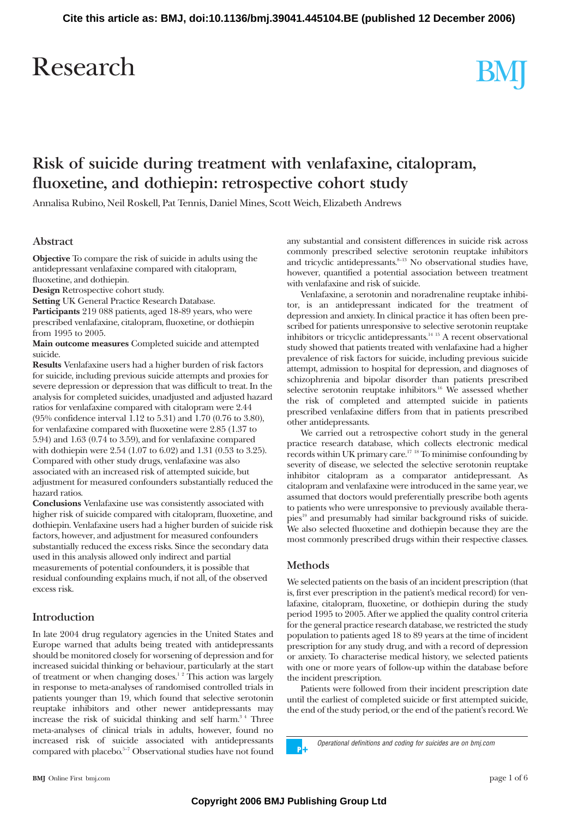## Research

# BMJ

### **Risk of suicide during treatment with venlafaxine, citalopram, fluoxetine, and dothiepin: retrospective cohort study**

Annalisa Rubino, Neil Roskell, Pat Tennis, Daniel Mines, Scott Weich, Elizabeth Andrews

#### **Abstract**

**Objective** To compare the risk of suicide in adults using the antidepressant venlafaxine compared with citalopram, fluoxetine, and dothiepin.

**Design** Retrospective cohort study.

**Setting** UK General Practice Research Database.

**Participants** 219 088 patients, aged 18-89 years, who were prescribed venlafaxine, citalopram, fluoxetine, or dothiepin from 1995 to 2005.

**Main outcome measures** Completed suicide and attempted suicide.

**Results** Venlafaxine users had a higher burden of risk factors for suicide, including previous suicide attempts and proxies for severe depression or depression that was difficult to treat. In the analysis for completed suicides, unadjusted and adjusted hazard ratios for venlafaxine compared with citalopram were 2.44 (95% confidence interval 1.12 to 5.31) and 1.70 (0.76 to 3.80), for venlafaxine compared with fluoxetine were 2.85 (1.37 to 5.94) and 1.63 (0.74 to 3.59), and for venlafaxine compared with dothiepin were 2.54 (1.07 to 6.02) and 1.31 (0.53 to 3.25). Compared with other study drugs, venlafaxine was also associated with an increased risk of attempted suicide, but adjustment for measured confounders substantially reduced the hazard ratios.

**Conclusions** Venlafaxine use was consistently associated with higher risk of suicide compared with citalopram, fluoxetine, and dothiepin. Venlafaxine users had a higher burden of suicide risk factors, however, and adjustment for measured confounders substantially reduced the excess risks. Since the secondary data used in this analysis allowed only indirect and partial measurements of potential confounders, it is possible that residual confoundingexplains much, if not all, of the observed excess risk.

#### **Introduction**

In late 2004 drug regulatory agencies in the United States and Europe warned that adults being treated with antidepressants should be monitored closely for worsening of depression and for increased suicidal thinking or behaviour, particularly at the start of treatment or when changing doses.<sup>12</sup> This action was largely in response to meta-analyses of randomised controlled trials in patients younger than 19, which found that selective serotonin reuptake inhibitors and other newer antidepressants may increase the risk of suicidal thinking and self harm. $3<sup>4</sup>$  Three meta-analyses of clinical trials in adults, however, found no increased risk of suicide associated with antidepressants compared with placebo.<sup>5-7</sup> Observational studies have not found

any substantial and consistent differences in suicide risk across commonly prescribed selective serotonin reuptake inhibitors and tricyclic antidepressants.<sup>8-13</sup> No observational studies have, however, quantified a potential association between treatment with venlafaxine and risk of suicide.

Venlafaxine, a serotonin and noradrenaline reuptake inhibitor, is an antidepressant indicated for the treatment of depression and anxiety. In clinical practice it has often been prescribed for patients unresponsive to selective serotonin reuptake inhibitors or tricyclic antidepressants.14 15 A recent observational study showed that patients treated with venlafaxine had a higher prevalence of risk factors for suicide, including previous suicide attempt, admission to hospital for depression, and diagnoses of schizophrenia and bipolar disorder than patients prescribed selective serotonin reuptake inhibitors.<sup>16</sup> We assessed whether the risk of completed and attempted suicide in patients prescribed venlafaxine differs from that in patients prescribed other antidepressants.

We carried out a retrospective cohort study in the general practice research database, which collects electronic medical records within UK primary care.<sup>17 18</sup> To minimise confounding by severity of disease, we selected the selective serotonin reuptake inhibitor citalopram as a comparator antidepressant. As citalopram and venlafaxine were introduced in the same year, we assumed that doctors would preferentially prescribe both agents to patients who were unresponsive to previously available therapies19 and presumably had similar background risks of suicide. We also selected fluoxetine and dothiepin because they are the most commonly prescribed drugs within their respective classes.

#### **Methods**

We selected patients on the basis of an incident prescription (that is, first ever prescription in the patient's medical record) for venlafaxine, citalopram, fluoxetine, or dothiepin during the study period 1995 to 2005. After we applied the quality control criteria for the general practice research database, we restricted the study population to patients aged 18 to 89 years at the time of incident prescription for any study drug, and with a record of depression or anxiety. To characterise medical history, we selected patients with one or more years of follow-up within the database before the incident prescription.

Patients were followed from their incident prescription date until the earliest of completed suicide or first attempted suicide, the end of the study period, or the end of the patient's record. We

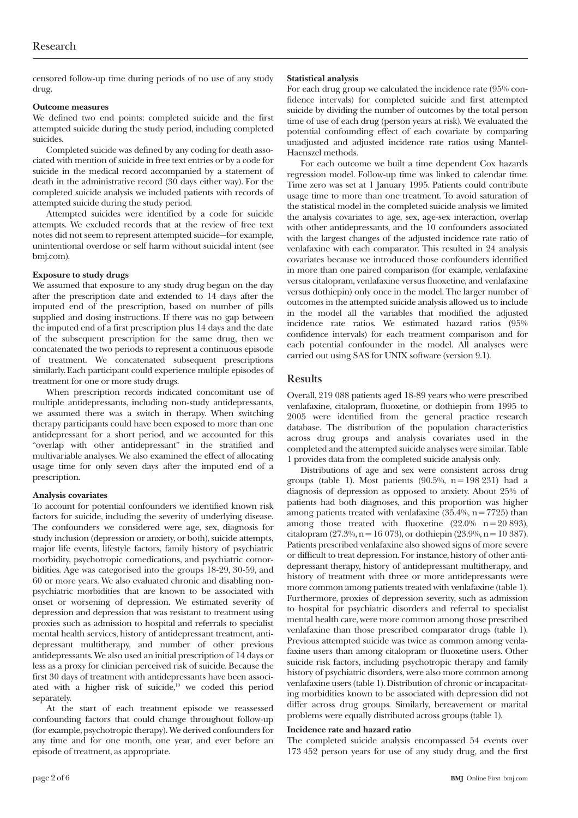censored follow-up time during periods of no use of any study drug.

#### **Outcome measures**

We defined two end points: completed suicide and the first attempted suicide during the study period, including completed suicides.

Completed suicide was defined by any coding for death associated with mention of suicide in free text entries or by a code for suicide in the medical record accompanied by a statement of death in the administrative record (30 days either way). For the completed suicide analysis we included patients with records of attempted suicide during the study period.

Attempted suicides were identified by a code for suicide attempts. We excluded records that at the review of free text notes did not seem to represent attempted suicide—for example, unintentional overdose or self harm without suicidal intent (see bmj.com).

#### **Exposure to study drugs**

We assumed that exposure to any study drug began on the day after the prescription date and extended to 14 days after the imputed end of the prescription, based on number of pills supplied and dosing instructions. If there was no gap between the imputed end of a first prescription plus 14 days and the date of the subsequent prescription for the same drug, then we concatenated the two periods to represent a continuous episode of treatment. We concatenated subsequent prescriptions similarly. Each participant could experience multiple episodes of treatment for one or more study drugs.

When prescription records indicated concomitant use of multiple antidepressants, including non-study antidepressants, we assumed there was a switch in therapy. When switching therapy participants could have been exposed to more than one antidepressant for a short period, and we accounted for this "overlap with other antidepressant" in the stratified and multivariable analyses. We also examined the effect of allocating usage time for only seven days after the imputed end of a prescription.

#### **Analysis covariates**

To account for potential confounders we identified known risk factors for suicide, including the severity of underlying disease. The confounders we considered were age, sex, diagnosis for study inclusion (depression or anxiety, or both), suicide attempts, major life events, lifestyle factors, family history of psychiatric morbidity, psychotropic comedications, and psychiatric comorbidities. Age was categorised into the groups 18-29, 30-59, and 60 or more years. We also evaluated chronic and disabling nonpsychiatric morbidities that are known to be associated with onset or worsening of depression. We estimated severity of depression and depression that was resistant to treatment using proxies such as admission to hospital and referrals to specialist mental health services, history of antidepressant treatment, antidepressant multitherapy, and number of other previous antidepressants. We also used an initial prescription of 14 days or less as a proxy for clinician perceived risk of suicide. Because the first 30 days of treatment with antidepressants have been associated with a higher risk of suicide,<sup>10</sup> we coded this period separately.

At the start of each treatment episode we reassessed confounding factors that could change throughout follow-up (for example, psychotropic therapy). We derived confounders for any time and for one month, one year, and ever before an episode of treatment, as appropriate.

#### **Statistical analysis**

For each druggroup we calculated the incidence rate (95% confidence intervals) for completed suicide and first attempted suicide by dividing the number of outcomes by the total person time of use of each drug(person years at risk). We evaluated the potential confounding effect of each covariate by comparing unadjusted and adjusted incidence rate ratios using Mantel-Haenszel methods.

For each outcome we built a time dependent Cox hazards regression model. Follow-up time was linked to calendar time. Time zero was set at 1 January 1995. Patients could contribute usage time to more than one treatment. To avoid saturation of the statistical model in the completed suicide analysis we limited the analysis covariates to age, sex, age-sex interaction, overlap with other antidepressants, and the 10 confounders associated with the largest changes of the adjusted incidence rate ratio of venlafaxine with each comparator. This resulted in 24 analysis covariates because we introduced those confounders identified in more than one paired comparison (for example, venlafaxine versus citalopram, venlafaxine versus fluoxetine, and venlafaxine versus dothiepin) only once in the model. The larger number of outcomes in the attempted suicide analysis allowed us to include in the model all the variables that modified the adjusted incidence rate ratios. We estimated hazard ratios (95% confidence intervals) for each treatment comparison and for each potential confounder in the model. All analyses were carried out using SAS for UNIX software (version 9.1).

#### **Results**

Overall, 219 088 patients aged 18-89 years who were prescribed venlafaxine, citalopram, fluoxetine, or dothiepin from 1995 to 2005 were identified from the general practice research database. The distribution of the population characteristics across druggroups and analysis covariates used in the completed and the attempted suicide analyses were similar. Table 1 provides data from the completed suicide analysis only.

Distributions of age and sex were consistent across drug groups (table 1). Most patients (90.5%,  $n = 198231$ ) had a diagnosis of depression as opposed to anxiety. About 25% of patients had both diagnoses, and this proportion was higher among patients treated with venlafaxine  $(35.4\%, n = 7725)$  than among those treated with fluoxetine  $(22.0\% \text{ n} = 20\,893)$ , citalopram (27.3%, n = 16 073), or dothiepin (23.9%, n = 10 387). Patients prescribed venlafaxine also showed signs of more severe or difficult to treat depression. For instance, history of other antidepressant therapy, history of antidepressant multitherapy, and history of treatment with three or more antidepressants were more common among patients treated with venlafaxine (table 1). Furthermore, proxies of depression severity, such as admission to hospital for psychiatric disorders and referral to specialist mental health care, were more common among those prescribed venlafaxine than those prescribed comparator drugs (table 1). Previous attempted suicide was twice as common among venlafaxine users than among citalopram or fluoxetine users. Other suicide risk factors, including psychotropic therapy and family history of psychiatric disorders, were also more common among venlafaxine users (table 1). Distribution of chronic or incapacitating morbidities known to be associated with depression did not differ across drug groups. Similarly, bereavement or marital problems were equally distributed across groups (table 1).

#### **Incidence rate and hazard ratio**

The completed suicide analysis encompassed 54 events over 173 452 person years for use of any study drug, and the first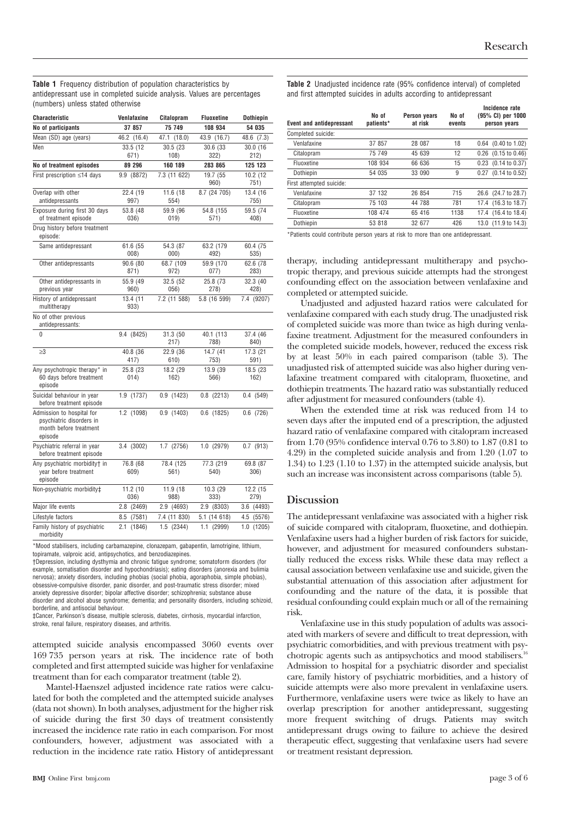**Table 1** Frequency distribution of population characteristics by antidepressant use in completed suicide analysis. Values are percentages (numbers) unless stated otherwise

| <b>Characteristic</b>                                                                      | Venlafaxine       | Citalopram        | <b>Fluoxetine</b> | Dothiepin         |
|--------------------------------------------------------------------------------------------|-------------------|-------------------|-------------------|-------------------|
| No of participants                                                                         | 37 857            | 75 749            | 108 934           | 54 035            |
| Mean (SD) age (years)                                                                      | 46.2 (16.4)       | 47.1 (18.0)       | 43.9 (16.7)       | 48.6 (7.3)        |
| Men                                                                                        | 33.5 (12          | 30.5 (23)         | 30.6 (33          | 30.0 (16          |
|                                                                                            | 671)              | 108)              | 322)              | 212)              |
| No of treatment episodes                                                                   | 89 296            | 160 189           | 283 865           | 125 123           |
| First prescription $\leq$ 14 days                                                          | 9.9 (8872)        | 7.3 (11 622)      | 19.7 (55<br>960)  | 10.2 (12<br>751)  |
| Overlap with other<br>antidepressants                                                      | 22.4 (19<br>997)  | 11.6 (18<br>554)  | 8.7 (24 705)      | 13.4 (16<br>755)  |
| Exposure during first 30 days<br>of treatment episode                                      | 53.8 (48)<br>036) | 59.9 (96<br>(019) | 54.8 (155<br>571) | 59.5 (74<br>408)  |
| Drug history before treatment<br>episode:                                                  |                   |                   |                   |                   |
| Same antidepressant                                                                        | 61.6 (55<br>008)  | 54.3 (87<br>000)  | 63.2 (179<br>492) | 60.4 (75<br>535)  |
| Other antidepressants                                                                      | 90.6 (80<br>871)  | 68.7 (109<br>972) | 59.9 (170<br>077) | 62.6 (78<br>283)  |
| Other antidepressants in<br>previous year                                                  | 55.9 (49<br>960)  | 32.5 (52<br>056)  | 25.8 (73<br>278)  | 32.3 (40<br>428)  |
| History of antidepressant<br>multitherapy                                                  | 13.4 (11<br>933)  | 7.2 (11 588)      | 5.8 (16 599)      | 7.4 (9207)        |
| No of other previous<br>antidepressants:                                                   |                   |                   |                   |                   |
| 0                                                                                          | 9.4 (8425)        | 31.3 (50<br>217)  | 40.1 (113<br>788) | 37.4 (46)<br>840) |
| $\geq 3$                                                                                   | 40.8 (36)<br>417) | 22.9 (36<br>610)  | 14.7 (41<br>753)  | 17.3 (21<br>591)  |
| Any psychotropic therapy* in<br>60 days before treatment<br>episode                        | 25.8 (23<br>014)  | 18.2 (29<br>162)  | 13.9 (39<br>566)  | 18.5 (23<br>162)  |
| Suicidal behaviour in year<br>before treatment episode                                     | 1.9 (1737)        | 0.9(1423)         | $0.8$ (2213)      | 0.4(549)          |
| Admission to hospital for<br>psychiatric disorders in<br>month before treatment<br>episode | 1.2 (1098)        | 0.9 (1403)        | $0.6$ (1825)      | $0.6$ (726)       |
| Psychiatric referral in year<br>before treatment episode                                   | 3.4 (3002)        | 1.7 (2756)        | 1.0 (2979)        | $0.7$ (913)       |
| Any psychiatric morbidity† in<br>year before treatment<br>episode                          | 76.8 (68<br>609)  | 78.4 (125<br>561) | 77.3 (219<br>540) | 69.8 (87<br>306)  |
| Non-psychiatric morbidity‡                                                                 | 11.2 (10<br>036)  | 11.9 (18<br>988)  | 10.3 (29)<br>333) | 12.2 (15<br>279)  |
| Major life events                                                                          | 2.8 (2469)        | 2.9 (4693)        | 2.9 (8303)        | 3.6 (4493)        |
| Lifestyle factors                                                                          | 8.5 (7581)        | 7.4 (11 830)      | 5.1 (14 618)      | 4.5 (5576)        |
| Family history of psychiatric<br>morbidity                                                 | 2.1<br>(1846)     | 1.5 (2344)        | 1.1 (2999)        | $1.0$ (1205)      |

\*Mood stabilisers, including carbamazepine, clonazepam, gabapentin, lamotrigine, lithium, topiramate, valproic acid, antipsychotics, and benzodiazepines.

†Depression, including dysthymia and chronic fatigue syndrome; somatoform disorders (for example, somatisation disorder and hypochondriasis); eating disorders (anorexia and bulimia nervosa); anxiety disorders, including phobias (social phobia, agoraphobia, simple phobias), obsessive-compulsive disorder, panic disorder, and post-traumatic stress disorder; mixed anxiety depressive disorder; bipolar affective disorder; schizophrenia; substance abuse disorder and alcohol abuse syndrome; dementia; and personality disorders, including schizoid, borderline, and antisocial behaviour.

‡Cancer, Parkinson's disease, multiple sclerosis, diabetes, cirrhosis, myocardial infarction, stroke, renal failure, respiratory diseases, and arthritis.

attempted suicide analysis encompassed 3060 events over 169 735 person years at risk. The incidence rate of both completed and first attempted suicide was higher for venlafaxine treatment than for each comparator treatment (table 2).

Mantel-Haenszel adjusted incidence rate ratios were calculated for both the completed and the attempted suicide analyses (data not shown). In both analyses, adjustment for the higher risk of suicide during the first 30 days of treatment consistently increased the incidence rate ratio in each comparison. For most confounders, however, adjustment was associated with a reduction in the incidence rate ratio. History of antidepressant **Table 2** Unadjusted incidence rate (95% confidence interval) of completed and first attempted suicides in adults according to antidepressant

| <b>Event and antidepressant</b> | No of<br>patients* | <b>Person years</b><br>at risk | No of<br>events | Incidence rate<br>(95% CI) per 1000<br>person years |
|---------------------------------|--------------------|--------------------------------|-----------------|-----------------------------------------------------|
| Completed suicide:              |                    |                                |                 |                                                     |
| Venlafaxine                     | 37 857             | 28 087                         | 18              | $0.64$ (0.40 to 1.02)                               |
| Citalopram                      | 75 749             | 45 639                         | 12              | $0.26$ $(0.15 \text{ to } 0.46)$                    |
| Fluoxetine                      | 108 934            | 66 636                         | 15              | $0.23$ $(0.14 \text{ to } 0.37)$                    |
| Dothiepin                       | 54 035             | 33 090                         | 9               | 0.27 (0.14 to 0.52)                                 |
| First attempted suicide:        |                    |                                |                 |                                                     |
| Venlafaxine                     | 37 132             | 26 854                         | 715             | 26.6 (24.7 to 28.7)                                 |
| Citalopram                      | 75 103             | 44 788                         | 781             | 17.4 (16.3 to 18.7)                                 |
| Fluoxetine                      | 108 474            | 65 416                         | 1138            | 17.4 (16.4 to 18.4)                                 |
| Dothiepin                       | 53 818             | 32 677                         | 426             | 13.0 (11.9 to 14.3)                                 |
|                                 |                    |                                |                 |                                                     |

\*Patients could contribute person years at risk to more than one antidepressant.

therapy, including antidepressant multitherapy and psychotropic therapy, and previous suicide attempts had the strongest confoundingeffect on the association between venlafaxine and completed or attempted suicide.

Unadjusted and adjusted hazard ratios were calculated for venlafaxine compared with each study drug. The unadjusted risk of completed suicide was more than twice as high during venlafaxine treatment. Adjustment for the measured confounders in the completed suicide models, however, reduced the excess risk by at least 50% in each paired comparison (table 3). The unadjusted risk of attempted suicide was also higher during venlafaxine treatment compared with citalopram, fluoxetine, and dothiepin treatments. The hazard ratio was substantially reduced after adjustment for measured confounders (table 4).

When the extended time at risk was reduced from 14 to seven days after the imputed end of a prescription, the adjusted hazard ratio of venlafaxine compared with citalopram increased from 1.70 (95% confidence interval 0.76 to 3.80) to 1.87 (0.81 to 4.29) in the completed suicide analysis and from 1.20 (1.07 to 1.34) to 1.23 (1.10 to 1.37) in the attempted suicide analysis, but such an increase was inconsistent across comparisons (table 5).

#### **Discussion**

The antidepressant venlafaxine was associated with a higher risk of suicide compared with citalopram, fluoxetine, and dothiepin. Venlafaxine users had a higher burden of risk factors for suicide, however, and adjustment for measured confounders substantially reduced the excess risks. While these data may reflect a causal association between venlafaxine use and suicide, given the substantial attenuation of this association after adjustment for confoundingand the nature of the data, it is possible that residual confounding could explain much or all of the remaining risk.

Venlafaxine use in this study population of adults was associated with markers of severe and difficult to treat depression, with psychiatric comorbidities, and with previous treatment with psychotropic agents such as antipsychotics and mood stabilisers.<sup>16</sup> Admission to hospital for a psychiatric disorder and specialist care, family history of psychiatric morbidities, and a history of suicide attempts were also more prevalent in venlafaxine users. Furthermore, venlafaxine users were twice as likely to have an overlap prescription for another antidepressant, suggesting more frequent switching of drugs. Patients may switch antidepressant drugs owing to failure to achieve the desired therapeutic effect, suggesting that venlafaxine users had severe or treatment resistant depression.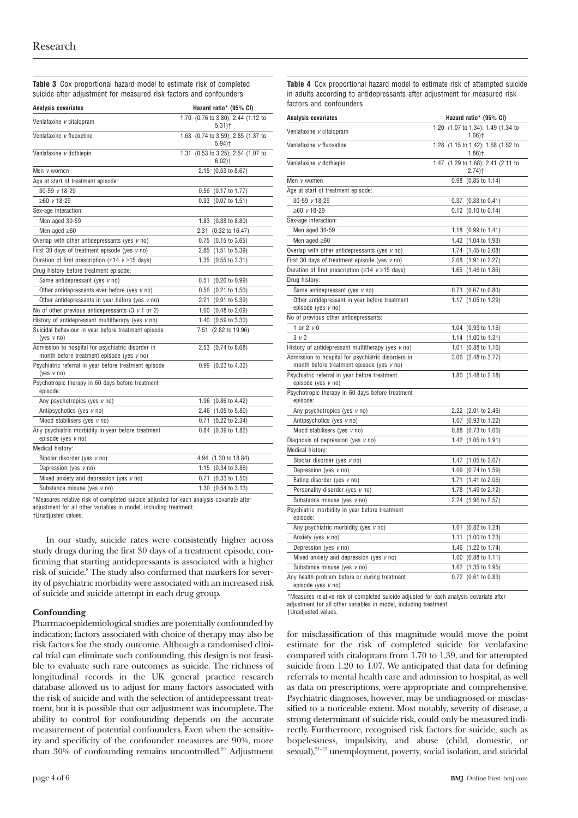**Table 3** Cox proportional hazard model to estimate risk of completed suicide after adjustment for measured risk factors and confounders

| <b>Analysis covariates</b>                                                                       | Hazard ratio* (95% CI)                                      |
|--------------------------------------------------------------------------------------------------|-------------------------------------------------------------|
| Venlafaxine v citalopram                                                                         | 1.70 (0.76 to 3.80); 2.44 (1.12 to<br>$5.31$ ) <sup>+</sup> |
| Venlafaxine v fluoxetine                                                                         | 1.63 (0.74 to 3.59); 2.85 (1.37 to<br>$5.94$ ) <sup>+</sup> |
| Venlafaxine v dothiepin                                                                          | 1.31 (0.53 to 3.25); 2.54 (1.07 to<br>$6.02$ ) <sup>+</sup> |
| Men <i>v</i> women                                                                               | 2.15 (0.53 to 8.67)                                         |
| Age at start of treatment episode:                                                               |                                                             |
| 30-59 v 18-29                                                                                    | $0.56$ $(0.17 \text{ to } 1.77)$                            |
| ≥60 $v$ 18-29                                                                                    | $0.33$ $(0.07 \text{ to } 1.51)$                            |
| Sex-age interaction:                                                                             |                                                             |
| Men aged 30-59                                                                                   | 1.83 (0.38 to 8.80)                                         |
| Men aged $\geq 60$                                                                               | 2.31 (0.32 to 16.47)                                        |
| Overlap with other antidepressants (yes v no)                                                    | $0.75$ $(0.15 \text{ to } 3.65)$                            |
| First 30 days of treatment episode (yes $v$ no)                                                  | 2.85 (1.51 to 5.39)                                         |
| Duration of first prescription ( $\leq$ 14 $v \geq$ 15 days)                                     | 1.35 (0.55 to 3.31)                                         |
| Drug history before treatment episode:                                                           |                                                             |
| Same antidepressant (yes v no)                                                                   | $0.51$ $(0.26 \text{ to } 0.99)$                            |
| Other antidepressants ever before (yes $v$ no)                                                   | $0.56$ $(0.21 \text{ to } 1.50)$                            |
| Other antidepressants in year before (yes $v$ no)                                                | 2.21 (0.91 to 5.39)                                         |
| No of other previous antidepressants (3 $v$ 1 or 2)                                              | 1.00 $(0.48 \text{ to } 2.09)$                              |
| History of antidepressant multitherapy (yes v no)                                                | 1.40 (0.59 to 3.30)                                         |
| Suicidal behaviour in year before treatment episode<br>(yes $v$ no)                              | 7.51 (2.82 to 19.96)                                        |
| Admission to hospital for psychiatric disorder in<br>month before treatment episode (yes $v$ no) | 2.53 (0.74 to 8.68)                                         |
| Psychiatric referral in year before treatment episode<br>(yes v no)                              | $0.99$ $(0.23$ to 4.32)                                     |
| Psychotropic therapy in 60 days before treatment<br>episode:                                     |                                                             |
| Any psychotropics (yes v no)                                                                     | 1.96 (0.86 to 4.42)                                         |
| Antipsychotics (yes v no)                                                                        | 2.46 (1.05 to 5.80)                                         |
| Mood stabilisers (yes v no)                                                                      | $0.71$ $(0.22$ to 2.34)                                     |
| Any psychiatric morbidity in year before treatment<br>episode (yes v no)                         | 0.84 (0.39 to 1.82)                                         |
| Medical history:                                                                                 |                                                             |
| Bipolar disorder (yes v no)                                                                      | 4.94 (1.30 to 18.84)                                        |
| Depression (yes v no)                                                                            | 1.15 (0.34 to 3.86)                                         |
| Mixed anxiety and depression (yes $v$ no)                                                        | $0.71$ $(0.33 \text{ to } 1.50)$                            |
| Substance misuse (yes v no)                                                                      | 1.30 (0.54 to 3.13)                                         |
|                                                                                                  |                                                             |

\*Measures relative risk of completed suicide adjusted for each analysis covariate after adjustment for all other variables in model, including treatment. †Unadjusted values.

In our study, suicide rates were consistently higher across study drugs during the first 30 days of a treatment episode, confirming that starting antidepressants is associated with a higher risk of suicide.<sup>8</sup> The study also confirmed that markers for severity of psychiatric morbidity were associated with an increased risk of suicide and suicide attempt in each druggroup.

#### **Confounding**

Pharmacoepidemiological studies are potentially confounded by indication; factors associated with choice of therapy may also be risk factors for the study outcome. Although a randomised clinical trial can eliminate such confounding, this design is not feasible to evaluate such rare outcomes as suicide. The richness of longitudinal records in the UK general practice research database allowed us to adjust for many factors associated with the risk of suicide and with the selection of antidepressant treatment, but it is possible that our adjustment was incomplete. The ability to control for confounding depends on the accurate measurement of potential confounders. Even when the sensitivity and specificity of the confounder measures are 90%, more than  $30\%$  of confounding remains uncontrolled.<sup>20</sup> Adjustment

**Table 4** Cox proportional hazard model to estimate risk of attempted suicide in adults according to antidepressants after adjustment for measured risk factors and confounders

| <b>Analysis covariates</b>                                                                      | Hazard ratio* (95% CI)                                      |
|-------------------------------------------------------------------------------------------------|-------------------------------------------------------------|
| Venlafaxine v citalopram                                                                        | 1.20 (1.07 to 1.34); 1.49 (1.34 to<br>$1.66$ ) <sup>+</sup> |
| Venlafaxine v fluoxetine                                                                        | 1.28 (1.15 to 1.42); 1.68 (1.52 to<br>$1.86$ ) <sup>+</sup> |
| Venlafaxine v dothiepin                                                                         | 1.47 (1.29 to 1.68); 2.41 (2.11 to<br>$2.74$ ) <sup>+</sup> |
| Men v women                                                                                     | 0.98 (0.85 to 1.14)                                         |
| Age at start of treatment episode:                                                              |                                                             |
| 30-59 v 18-29                                                                                   | $0.37$ $(0.33$ to $0.41)$                                   |
| ≥60 $v$ 18-29                                                                                   | $0.12$ $(0.10 \text{ to } 0.14)$                            |
| Sex-age interaction:                                                                            |                                                             |
| Men aged 30-59                                                                                  | 1.18 (0.99 to 1.41)                                         |
| Men aged $\geq 60$                                                                              | 1.42 (1.04 to 1.93)                                         |
| Overlap with other antidepressants (yes $v$ no)                                                 | 1.74 (1.45 to 2.08)                                         |
| First 30 days of treatment episode (yes v no)                                                   | 2.08 (1.91 to 2.27)                                         |
| Duration of first prescription ( $\leq$ 14 $v \geq$ 15 days)                                    | 1.65 (1.46 to 1.86)                                         |
| Drug history:                                                                                   |                                                             |
| Same antidepressant (yes v no)                                                                  | $0.73$ $(0.67 \text{ to } 0.80)$                            |
| Other antidepressant in year before treatment<br>episode (yes v no)                             | 1.17 (1.05 to 1.29)                                         |
| No of previous other antidepressants:                                                           |                                                             |
| 1 or $2 v 0$                                                                                    | 1.04 (0.93 to 1.16)                                         |
| 3 <sub>V</sub> 0                                                                                | 1.14 $(1.00 \text{ to } 1.31)$                              |
| History of antidepressant multitherapy (yes v no)                                               | 1.01 (0.88 to 1.16)                                         |
| Admission to hospital for psychiatric disorders in<br>month before treatment episode (yes v no) | 3.06 (2.48 to 3.77)                                         |
| Psychiatric referral in year before treatment<br>episode (yes v no)                             | 1.80 (1.48 to 2.18)                                         |
| Psychotropic therapy in 60 days before treatment<br>episode:                                    |                                                             |
| Any psychotropics (yes v no)                                                                    | 2.22 (2.01 to 2.46)                                         |
| Antipsychotics (yes v no)                                                                       | 1.07 (0.93 to 1.22)                                         |
| Mood stabilisers (yes v no)                                                                     | 0.88 (0.73 to 1.06)                                         |
| Diagnosis of depression (yes $v$ no)                                                            | 1.42 (1.05 to 1.91)                                         |
| Medical history:                                                                                |                                                             |
| Bipolar disorder (yes v no)                                                                     | 1.47 (1.05 to 2.07)                                         |
| Depression (yes v no)                                                                           | 1.09 (0.74 to 1.59)                                         |
| Eating disorder (yes v no)                                                                      | 1.71 (1.41 to 2.06)                                         |
| Personality disorder (yes v no)                                                                 | 1.78 (1.49 to 2.12)                                         |
| Substance misuse (yes v no)                                                                     | 2.24 (1.96 to 2.57)                                         |
| Psychiatric morbidity in year before treatment<br>episode:                                      |                                                             |
| Any psychiatric morbidity (yes v no)                                                            | 1.01 (0.82 to 1.24)                                         |
| Anxiety (yes v no)                                                                              | 1.11 (1.00 to 1.23)                                         |
| Depression (yes v no)                                                                           | 1.46 (1.22 to 1.74)                                         |
| Mixed anxiety and depression (yes v no)                                                         | 1.00 (0.88 to 1.11)                                         |
| Substance misuse (yes v no)                                                                     | 1.62 (1.35 to 1.95)                                         |
| Any health problem before or during treatment<br>episode (yes v no)                             | 0.72 (0.61 to 0.83)                                         |

\*Measures relative risk of completed suicide adjusted for each analysis covariate after adjustment for all other variables in model, including treatment.

†Unadjusted values.

for misclassification of this magnitude would move the point estimate for the risk of completed suicide for venlafaxine compared with citalopram from 1.70 to 1.39, and for attempted suicide from 1.20 to 1.07. We anticipated that data for defining referrals to mental health care and admission to hospital, as well as data on prescriptions, were appropriate and comprehensive. Psychiatric diagnoses, however, may be undiagnosed or misclassified to a noticeable extent. Most notably, severity of disease, a strong determinant of suicide risk, could only be measured indirectly. Furthermore, recognised risk factors for suicide, such as hopelessness, impulsivity, and abuse (child, domestic, or sexual),<sup>21-23</sup> unemployment, poverty, social isolation, and suicidal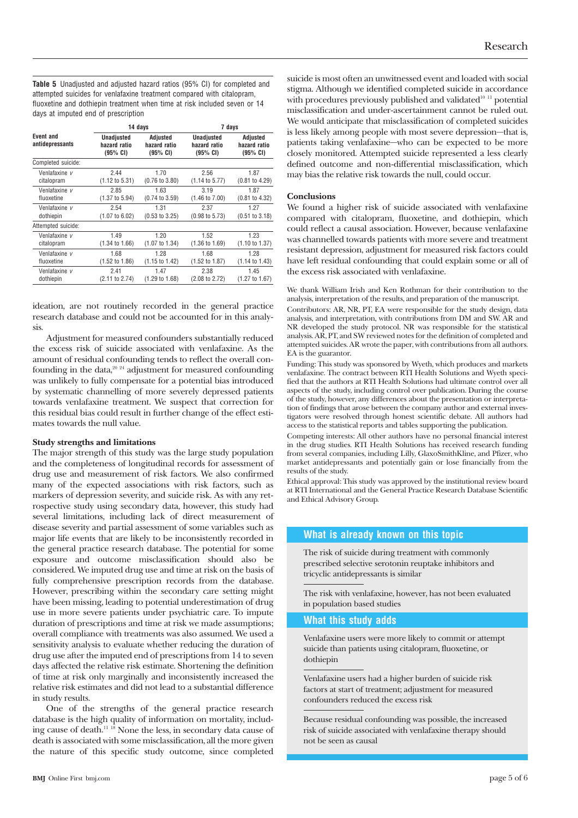**Table 5** Unadjusted and adjusted hazard ratios (95% CI) for completed and attempted suicides for venlafaxine treatment compared with citalopram, fluoxetine and dothiepin treatment when time at risk included seven or 14 days at imputed end of prescription

|                              |                                        | 14 days                              |                                                          | 7 days                               |  |
|------------------------------|----------------------------------------|--------------------------------------|----------------------------------------------------------|--------------------------------------|--|
| Event and<br>antidepressants | Unadjusted<br>hazard ratio<br>(95% CI) | Adjusted<br>hazard ratio<br>(95% CI) | <b>Unadjusted</b><br>hazard ratio<br>$(95\% \text{ CI})$ | Adjusted<br>hazard ratio<br>(95% CI) |  |
| Completed suicide:           |                                        |                                      |                                                          |                                      |  |
| Venlafaxine v                | 2.44                                   | 1.70                                 | 2.56                                                     | 1.87                                 |  |
| citalopram                   | $(1.12 \text{ to } 5.31)$              | $(0.76 \text{ to } 3.80)$            | $(1.14 \text{ to } 5.77)$                                | $(0.81 \text{ to } 4.29)$            |  |
| Venlafaxine v                | 2.85                                   | 1.63                                 | 3.19                                                     | 1.87                                 |  |
| fluoxetine                   | $(1.37 \text{ to } 5.94)$              | $(0.74 \text{ to } 3.59)$            | $(1.46 \text{ to } 7.00)$                                | $(0.81 \text{ to } 4.32)$            |  |
| Venlafaxine v                | 2.54                                   | 1.31                                 | 2.37                                                     | 1.27                                 |  |
| dothiepin                    | $(1.07 \text{ to } 6.02)$              | $(0.53 \text{ to } 3.25)$            | $(0.98 \text{ to } 5.73)$                                | (0.51 to 3.18)                       |  |
| Attempted suicide:           |                                        |                                      |                                                          |                                      |  |
| Venlafaxine v                | 1.49                                   | 1.20                                 | 1.52                                                     | 1.23                                 |  |
| citalopram                   | $(1.34 \text{ to } 1.66)$              | $(1.07 \text{ to } 1.34)$            | $(1.36 \text{ to } 1.69)$                                | $(1.10 \text{ to } 1.37)$            |  |
| Venlafaxine v                | 1.68                                   | 1.28                                 | 1.68                                                     | 1.28                                 |  |
| fluoxetine                   | $(1.52 \text{ to } 1.86)$              | $(1.15 \text{ to } 1.42)$            | $(1.52 \text{ to } 1.87)$                                | $(1.14 \text{ to } 1.43)$            |  |
| Venlafaxine v                | 2.41                                   | 1.47                                 | 2.38                                                     | 1.45                                 |  |
| dothiepin                    | (2.11 to 2.74)                         | $(1.29 \text{ to } 1.68)$            | (2.08 to 2.72)                                           | $(1.27 \text{ to } 1.67)$            |  |

ideation, are not routinely recorded in the general practice research database and could not be accounted for in this analysis.

Adjustment for measured confounders substantially reduced the excess risk of suicide associated with venlafaxine. As the amount of residual confounding tends to reflect the overall confounding in the data, $20^{24}$  adjustment for measured confounding was unlikely to fully compensate for a potential bias introduced by systematic channelling of more severely depressed patients towards venlafaxine treatment. We suspect that correction for this residual bias could result in further change of the effect estimates towards the null value.

#### **Study strengths and limitations**

The major strength of this study was the large study population and the completeness of longitudinal records for assessment of drug use and measurement of risk factors. We also confirmed many of the expected associations with risk factors, such as markers of depression severity, and suicide risk. As with any retrospective study using secondary data, however, this study had several limitations, including lack of direct measurement of disease severity and partial assessment of some variables such as major life events that are likely to be inconsistently recorded in the general practice research database. The potential for some exposure and outcome misclassification should also be considered. We imputed drug use and time at risk on the basis of fully comprehensive prescription records from the database. However, prescribing within the secondary care setting might have been missing, leading to potential underestimation of drug use in more severe patients under psychiatric care. To impute duration of prescriptions and time at risk we made assumptions; overall compliance with treatments was also assumed. We used a sensitivity analysis to evaluate whether reducing the duration of drug use after the imputed end of prescriptions from 14 to seven days affected the relative risk estimate. Shortening the definition of time at risk only marginally and inconsistently increased the relative risk estimates and did not lead to a substantial difference in study results.

One of the strengths of the general practice research database is the high quality of information on mortality, including cause of death.<sup>11 18</sup> None the less, in secondary data cause of death is associated with some misclassification, all the more given the nature of this specific study outcome, since completed

suicide is most often an unwitnessed event and loaded with social stigma. Although we identified completed suicide in accordance with procedures previously published and validated  $^{\rm 10~11}$  potential misclassification and under-ascertainment cannot be ruled out. We would anticipate that misclassification of completed suicides is less likely among people with most severe depression—that is, patients taking venlafaxine—who can be expected to be more closely monitored. Attempted suicide represented a less clearly defined outcome and non-differential misclassification, which may bias the relative risk towards the null, could occur.

#### **Conclusions**

We found a higher risk of suicide associated with venlafaxine compared with citalopram, fluoxetine, and dothiepin, which could reflect a causal association. However, because venlafaxine was channelled towards patients with more severe and treatment resistant depression, adjustment for measured risk factors could have left residual confounding that could explain some or all of the excess risk associated with venlafaxine.

We thank William Irish and Ken Rothman for their contribution to the analysis, interpretation of the results, and preparation of the manuscript.

Contributors: AR, NR, PT, EA were responsible for the study design, data analysis, and interpretation, with contributions from DM and SW. AR and NR developed the study protocol. NR was responsible for the statistical analysis. AR, PT, and SW reviewed notes for the definition of completed and attempted suicides. AR wrote the paper, with contributions from all authors. EA is the guarantor.

Funding: This study was sponsored by Wyeth, which produces and markets venlafaxine. The contract between RTI Health Solutions and Wyeth specified that the authors at RTI Health Solutions had ultimate control over all aspects of the study, including control over publication. During the course of the study, however, any differences about the presentation or interpretation of findings that arose between the company author and external investigators were resolved through honest scientific debate. All authors had access to the statistical reports and tables supporting the publication.

Competing interests: All other authors have no personal financial interest in the drugstudies. RTI Health Solutions has received research funding from several companies, including Lilly, GlaxoSmithKline, and Pfizer, who market antidepressants and potentially gain or lose financially from the results of the study.

Ethical approval: This study was approved by the institutional review board at RTI International and the General Practice Research Database Scientific and Ethical Advisory Group.

#### **What is already known on this topic**

The risk of suicide during treatment with commonly prescribed selective serotonin reuptake inhibitors and tricyclic antidepressants is similar

The risk with venlafaxine, however, has not been evaluated in population based studies

#### **What this study adds**

Venlafaxine users were more likely to commit or attempt suicide than patients using citalopram, fluoxetine, or dothiepin

Venlafaxine users had a higher burden of suicide risk factors at start of treatment; adjustment for measured confounders reduced the excess risk

Because residual confoundingwas possible, the increased risk of suicide associated with venlafaxine therapy should not be seen as causal